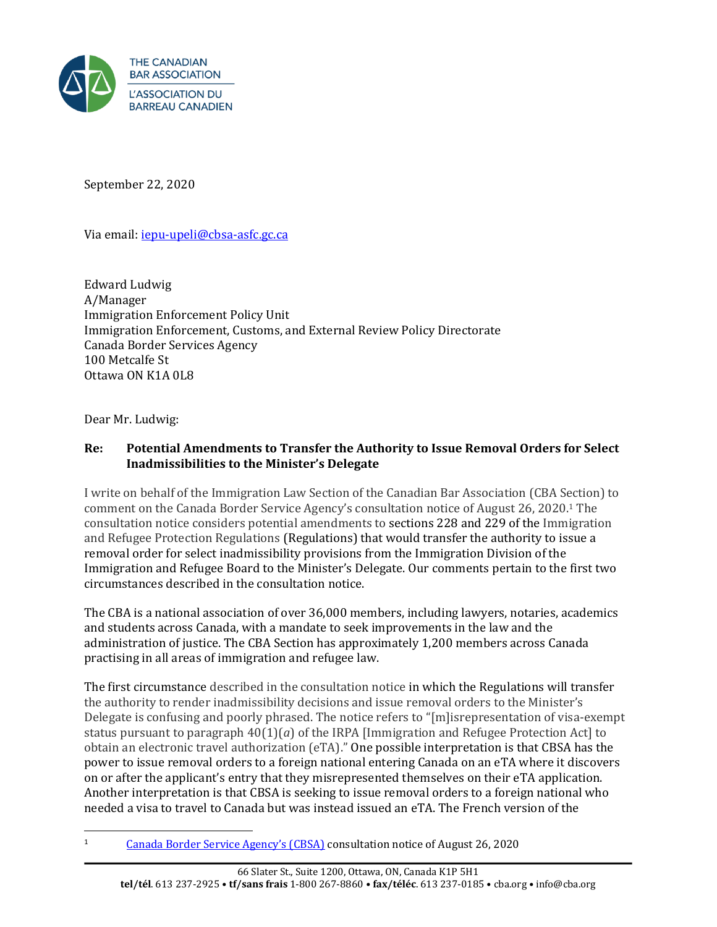

September 22, 2020

Via email[: iepu-upeli@cbsa-asfc.gc.ca](mailto:iepu-upeli@cbsa-asfc.gc.ca)

Edward Ludwig A/Manager Immigration Enforcement Policy Unit Immigration Enforcement, Customs, and External Review Policy Directorate Canada Border Services Agency 100 Metcalfe St Ottawa ON K1A 0L8

Dear Mr. Ludwig:

## **Re: Potential Amendments to Transfer the Authority to Issue Removal Orders for Select Inadmissibilities to the Minister's Delegate**

I write on behalf of the Immigration Law Section of the Canadian Bar Association (CBA Section) to comment on the Canada Border Service Agency's consultation notice of August 26, 2020. <sup>1</sup> The consultation notice considers potential amendments to sections 228 and 229 of the Immigration and Refugee Protection Regulations (Regulations) that would transfer the authority to issue a removal order for select inadmissibility provisions from the Immigration Division of the Immigration and Refugee Board to the Minister's Delegate. Our comments pertain to the first two circumstances described in the consultation notice.

The CBA is a national association of over 36,000 members, including lawyers, notaries, academics and students across Canada, with a mandate to seek improvements in the law and the administration of justice. The CBA Section has approximately 1,200 members across Canada practising in all areas of immigration and refugee law.

The first circumstance described in the consultation notice in which the Regulations will transfer the authority to render inadmissibility decisions and issue removal orders to the Minister's Delegate is confusing and poorly phrased. The notice refers to "[m]isrepresentation of visa-exempt status pursuant to paragraph  $40(1)(a)$  of the IRPA [Immigration and Refugee Protection Act] to obtain an electronic travel authorization (eTA)." One possible interpretation is that CBSA has the power to issue removal orders to a foreign national entering Canada on an eTA where it discovers on or after the applicant's entry that they misrepresented themselves on their eTA application. Another interpretation is that CBSA is seeking to issue removal orders to a foreign national who needed a visa to travel to Canada but was instead issued an eTA. The French version of the

<sup>1</sup> [Canada Border Service Agency's \(CBSA\)](https://www.cbsa-asfc.gc.ca/agency-agence/consult/consultations/2020-3-eng.html) consultation notice of August 26, 2020